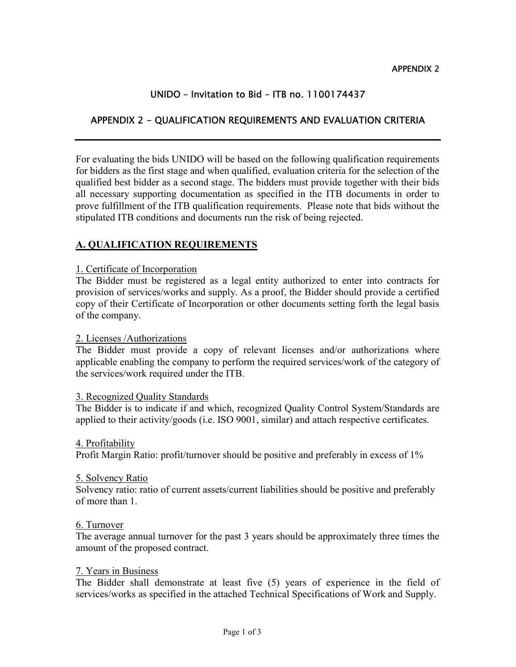# UNIDO – Invitation to Bid – ITB no. 1100174437

# APPENDIX 2 - QUALIFICATION REQUIREMENTS AND EVALUATION CRITERIA

For evaluating the bids UNIDO will be based on the following qualification requirements for bidders as the first stage and when qualified, evaluation criteria for the selection of the qualified best bidder as a second stage. The bidders must provide together with their bids all necessary supporting documentation as specified in the ITB documents in order to prove fulfillment of the ITB qualification requirements. Please note that bids without the stipulated ITB conditions and documents run the risk of being rejected.

## A. QUALIFICATION REQUIREMENTS

### 1. Certificate of Incorporation

The Bidder must be registered as a legal entity authorized to enter into contracts for provision of services/works and supply. As a proof, the Bidder should provide a certified copy of their Certificate of Incorporation or other documents setting forth the legal basis of the company.

### 2. Licenses /Authorizations

The Bidder must provide a copy of relevant licenses and/or authorizations where applicable enabling the company to perform the required services/work of the category of the services/work required under the ITB.

### 3. Recognized Quality Standards

The Bidder is to indicate if and which, recognized Quality Control System/Standards are applied to their activity/goods (i.e. ISO 9001, similar) and attach respective certificates.

### 4. Profitability

Profit Margin Ratio: profit/turnover should be positive and preferably in excess of 1%

### 5. Solvency Ratio

Solvency ratio: ratio of current assets/current liabilities should be positive and preferably of more than 1.

### 6. Turnover

The average annual turnover for the past 3 years should be approximately three times the amount of the proposed contract.

### 7. Years in Business

The Bidder shall demonstrate at least five (5) years of experience in the field of services/works as specified in the attached Technical Specifications of Work and Supply.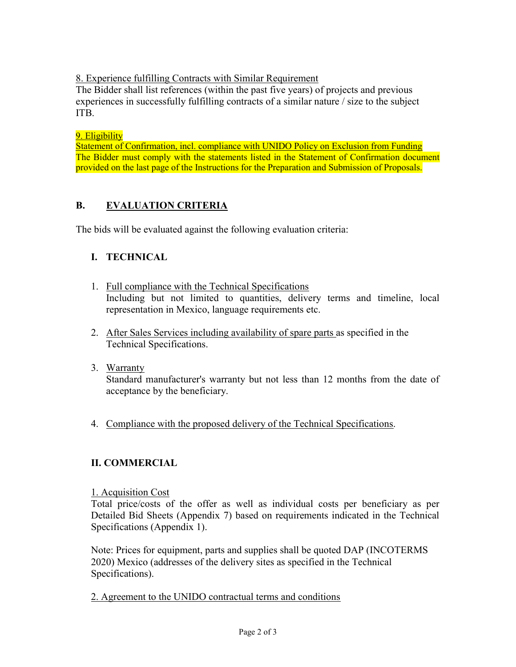8. Experience fulfilling Contracts with Similar Requirement

The Bidder shall list references (within the past five years) of projects and previous experiences in successfully fulfilling contracts of a similar nature / size to the subject ITB.

## 9. Eligibility

Statement of Confirmation, incl. compliance with UNIDO Policy on Exclusion from Funding The Bidder must comply with the statements listed in the Statement of Confirmation document provided on the last page of the Instructions for the Preparation and Submission of Proposals.

# B. EVALUATION CRITERIA

The bids will be evaluated against the following evaluation criteria:

# I. TECHNICAL

- 1. Full compliance with the Technical Specifications Including but not limited to quantities, delivery terms and timeline, local representation in Mexico, language requirements etc.
- 2. After Sales Services including availability of spare parts as specified in the Technical Specifications.
- 3. Warranty

Standard manufacturer's warranty but not less than 12 months from the date of acceptance by the beneficiary.

4. Compliance with the proposed delivery of the Technical Specifications.

# II. COMMERCIAL

## 1. Acquisition Cost

Total price/costs of the offer as well as individual costs per beneficiary as per Detailed Bid Sheets (Appendix 7) based on requirements indicated in the Technical Specifications (Appendix 1).

Note: Prices for equipment, parts and supplies shall be quoted DAP (INCOTERMS 2020) Mexico (addresses of the delivery sites as specified in the Technical Specifications).

2. Agreement to the UNIDO contractual terms and conditions